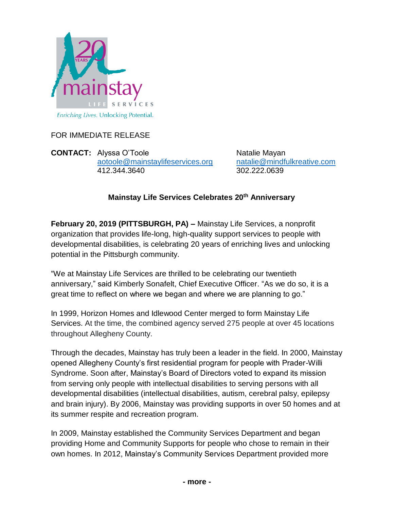

FOR IMMEDIATE RELEASE

**CONTACT:** Alyssa O'Toole Natalie Mayan [aotoole@mainstaylifeservices.org](mailto:aotoole@mainstaylifeservices.org) [natalie@mindfulkreative.com](mailto:natalie@mindfulkreative.com) 412.344.3640 302.222.0639

## **Mainstay Life Services Celebrates 20th Anniversary**

**February 20, 2019 (PITTSBURGH, PA) –** Mainstay Life Services, a nonprofit organization that provides life-long, high-quality support services to people with developmental disabilities, is celebrating 20 years of enriching lives and unlocking potential in the Pittsburgh community.

"We at Mainstay Life Services are thrilled to be celebrating our twentieth anniversary," said Kimberly Sonafelt, Chief Executive Officer. "As we do so, it is a great time to reflect on where we began and where we are planning to go."

In 1999, Horizon Homes and Idlewood Center merged to form Mainstay Life Services. At the time, the combined agency served 275 people at over 45 locations throughout Allegheny County.

Through the decades, Mainstay has truly been a leader in the field. In 2000, Mainstay opened Allegheny County's first residential program for people with Prader-Willi Syndrome. Soon after, Mainstay's Board of Directors voted to expand its mission from serving only people with intellectual disabilities to serving persons with all developmental disabilities (intellectual disabilities, autism, cerebral palsy, epilepsy and brain injury). By 2006, Mainstay was providing supports in over 50 homes and at its summer respite and recreation program.

In 2009, Mainstay established the Community Services Department and began providing Home and Community Supports for people who chose to remain in their own homes. In 2012, Mainstay's Community Services Department provided more